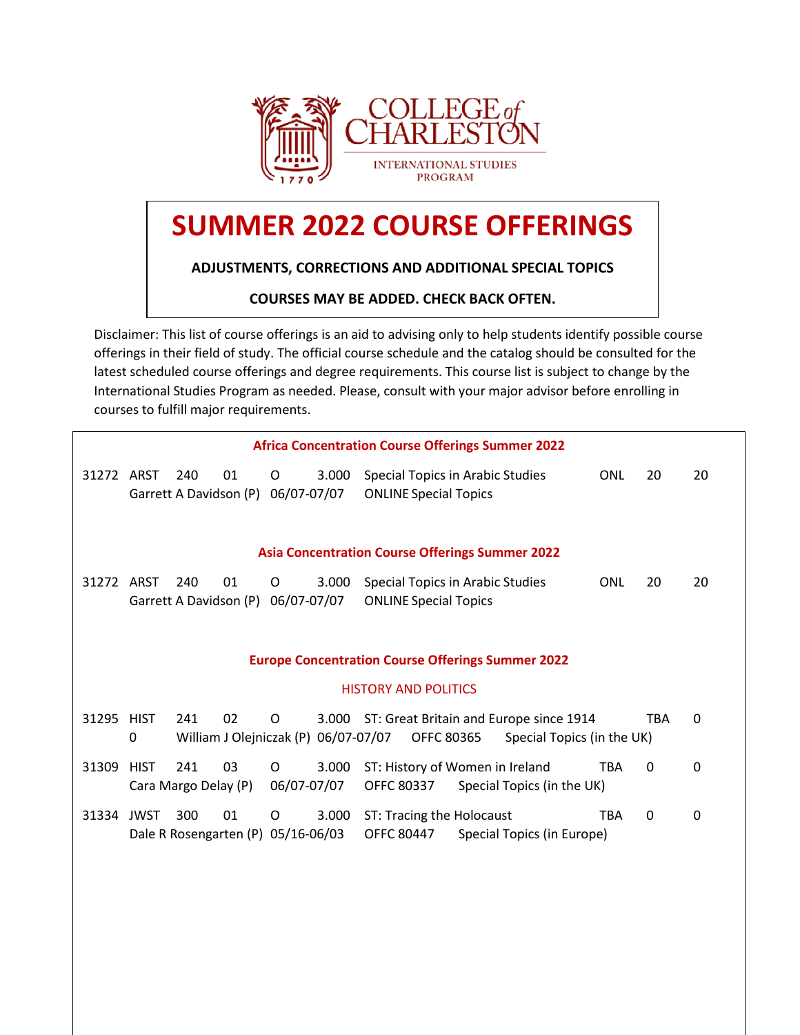

## **SUMMER 2022 COURSE OFFERINGS**

## **ADJUSTMENTS, CORRECTIONS AND ADDITIONAL SPECIAL TOPICS**

**COURSES MAY BE ADDED. CHECK BACK OFTEN.**

Disclaimer: This list of course offerings is an aid to advising only to help students identify possible course offerings in their field of study. The official course schedule and the catalog should be consulted for the latest scheduled course offerings and degree requirements. This course list is subject to change by the International Studies Program as needed. Please, consult with your major advisor before enrolling in courses to fulfill major requirements.

| <b>Africa Concentration Course Offerings Summer 2022</b> |             |                                                                                                                                   |                                            |                  |       |                                                                                |            |                            |            |             |    |
|----------------------------------------------------------|-------------|-----------------------------------------------------------------------------------------------------------------------------------|--------------------------------------------|------------------|-------|--------------------------------------------------------------------------------|------------|----------------------------|------------|-------------|----|
| 31272 ARST                                               |             | 01<br>3.000<br>240<br>O<br>Garrett A Davidson (P) 06/07-07/07                                                                     |                                            |                  |       | Special Topics in Arabic Studies<br><b>ONL</b><br><b>ONLINE Special Topics</b> |            |                            |            | 20          | 20 |
| <b>Asia Concentration Course Offerings Summer 2022</b>   |             |                                                                                                                                   |                                            |                  |       |                                                                                |            |                            |            |             |    |
| 31272 ARST                                               |             | 01<br>0<br>3.000<br>Special Topics in Arabic Studies<br>240<br>Garrett A Davidson (P) 06/07-07/07<br><b>ONLINE Special Topics</b> |                                            |                  |       |                                                                                | <b>ONL</b> | 20                         | 20         |             |    |
| <b>Europe Concentration Course Offerings Summer 2022</b> |             |                                                                                                                                   |                                            |                  |       |                                                                                |            |                            |            |             |    |
| <b>HISTORY AND POLITICS</b>                              |             |                                                                                                                                   |                                            |                  |       |                                                                                |            |                            |            |             |    |
| 31295 HIST                                               | 0           | 241                                                                                                                               | 02<br>William J Olejniczak (P) 06/07-07/07 | O                |       | 3.000 ST: Great Britain and Europe since 1914<br><b>OFFC 80365</b>             |            | Special Topics (in the UK) |            | <b>TBA</b>  | 0  |
| 31309                                                    | <b>HIST</b> | 241<br>Cara Margo Delay (P)                                                                                                       | 03                                         | 0<br>06/07-07/07 | 3.000 | ST: History of Women in Ireland<br>OFFC 80337                                  |            | Special Topics (in the UK) | <b>TBA</b> | $\mathbf 0$ | 0  |
| 31334                                                    | <b>JWST</b> | 300                                                                                                                               | 01<br>Dale R Rosengarten (P) 05/16-06/03   | $\Omega$         | 3.000 | ST: Tracing the Holocaust<br><b>OFFC 80447</b>                                 |            | Special Topics (in Europe) | <b>TBA</b> | 0           | 0  |
|                                                          |             |                                                                                                                                   |                                            |                  |       |                                                                                |            |                            |            |             |    |
|                                                          |             |                                                                                                                                   |                                            |                  |       |                                                                                |            |                            |            |             |    |